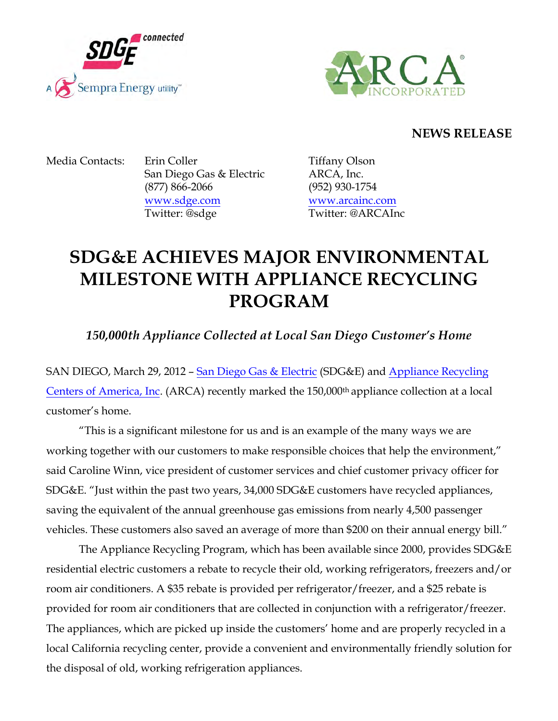



## **NEWS RELEASE**

Media Contacts: Erin Coller Tiffany Olson San Diego Gas & Electric ARCA, Inc. (877) 866-2066 (952) 930-1754 www.sdge.com www.arcainc.com Twitter: @sdge Twitter: @ARCAInc

## **SDG&E ACHIEVES MAJOR ENVIRONMENTAL MILESTONE WITH APPLIANCE RECYCLING PROGRAM**

*150,000th Appliance Collected at Local San Diego Customer's Home*

SAN DIEGO, March 29, 2012 – San Diego Gas & Electric (SDG&E) and Appliance Recycling Centers of America, Inc. (ARCA) recently marked the 150,000<sup>th</sup> appliance collection at a local customer's home.

"This is a significant milestone for us and is an example of the many ways we are working together with our customers to make responsible choices that help the environment," said Caroline Winn, vice president of customer services and chief customer privacy officer for SDG&E. "Just within the past two years, 34,000 SDG&E customers have recycled appliances, saving the equivalent of the annual greenhouse gas emissions from nearly 4,500 passenger vehicles. These customers also saved an average of more than \$200 on their annual energy bill."

The Appliance Recycling Program, which has been available since 2000, provides SDG&E residential electric customers a rebate to recycle their old, working refrigerators, freezers and/or room air conditioners. A \$35 rebate is provided per refrigerator/freezer, and a \$25 rebate is provided for room air conditioners that are collected in conjunction with a refrigerator/freezer. The appliances, which are picked up inside the customers' home and are properly recycled in a local California recycling center, provide a convenient and environmentally friendly solution for the disposal of old, working refrigeration appliances.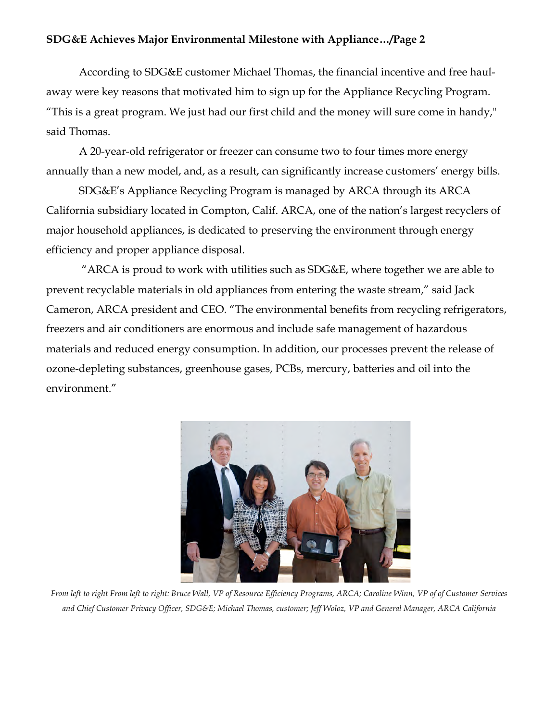## **SDG&E Achieves Major Environmental Milestone with Appliance…/Page 2**

According to SDG&E customer Michael Thomas, the financial incentive and free haulaway were key reasons that motivated him to sign up for the Appliance Recycling Program. "This is a great program. We just had our first child and the money will sure come in handy," said Thomas.

A 20-year-old refrigerator or freezer can consume two to four times more energy annually than a new model, and, as a result, can significantly increase customers' energy bills.

SDG&E's Appliance Recycling Program is managed by ARCA through its ARCA California subsidiary located in Compton, Calif. ARCA, one of the nation's largest recyclers of major household appliances, is dedicated to preserving the environment through energy efficiency and proper appliance disposal.

"ARCA is proud to work with utilities such as  $SDG&E$ , where together we are able to prevent recyclable materials in old appliances from entering the waste stream," said Jack Cameron, ARCA president and CEO. "The environmental benefits from recycling refrigerators, freezers and air conditioners are enormous and include safe management of hazardous materials and reduced energy consumption. In addition, our processes prevent the release of ozone-depleting substances, greenhouse gases, PCBs, mercury, batteries and oil into the environment."



*From left to right From left to right: Bruce Wall, VP of Resource Efficiency Programs, ARCA; Caroline Winn, VP of of Customer Services and Chief Customer Privacy Officer, SDG&E; Michael Thomas, customer; Jeff Woloz, VP and General Manager, ARCA California*